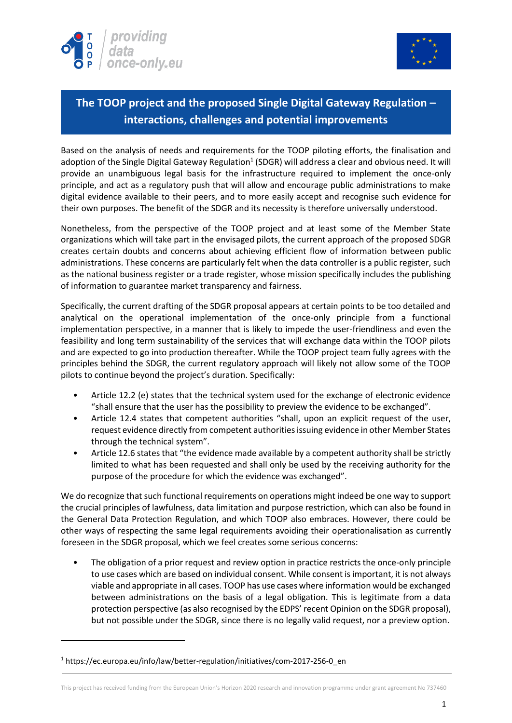



## **The TOOP project and the proposed Single Digital Gateway Regulation – interactions, challenges and potential improvements**

Based on the analysis of needs and requirements for the TOOP piloting efforts, the finalisation and adoption of the Single Digital Gateway Regulation<sup>1</sup> (SDGR) will address a clear and obvious need. It will provide an unambiguous legal basis for the infrastructure required to implement the once-only principle, and act as a regulatory push that will allow and encourage public administrations to make digital evidence available to their peers, and to more easily accept and recognise such evidence for their own purposes. The benefit of the SDGR and its necessity is therefore universally understood.

Nonetheless, from the perspective of the TOOP project and at least some of the Member State organizations which will take part in the envisaged pilots, the current approach of the proposed SDGR creates certain doubts and concerns about achieving efficient flow of information between public administrations. These concerns are particularly felt when the data controller is a public register, such as the national business register or a trade register, whose mission specifically includes the publishing of information to guarantee market transparency and fairness.

Specifically, the current drafting of the SDGR proposal appears at certain points to be too detailed and analytical on the operational implementation of the once-only principle from a functional implementation perspective, in a manner that is likely to impede the user-friendliness and even the feasibility and long term sustainability of the services that will exchange data within the TOOP pilots and are expected to go into production thereafter. While the TOOP project team fully agrees with the principles behind the SDGR, the current regulatory approach will likely not allow some of the TOOP pilots to continue beyond the project's duration. Specifically:

- Article 12.2 (e) states that the technical system used for the exchange of electronic evidence "shall ensure that the user has the possibility to preview the evidence to be exchanged".
- Article 12.4 states that competent authorities "shall, upon an explicit request of the user, request evidence directly from competent authorities issuing evidence in other Member States through the technical system".
- Article 12.6 states that "the evidence made available by a competent authority shall be strictly limited to what has been requested and shall only be used by the receiving authority for the purpose of the procedure for which the evidence was exchanged".

We do recognize that such functional requirements on operations might indeed be one way to support the crucial principles of lawfulness, data limitation and purpose restriction, which can also be found in the General Data Protection Regulation, and which TOOP also embraces. However, there could be other ways of respecting the same legal requirements avoiding their operationalisation as currently foreseen in the SDGR proposal, which we feel creates some serious concerns:

The obligation of a prior request and review option in practice restricts the once-only principle to use cases which are based on individual consent. While consent is important, it is not always viable and appropriate in all cases. TOOP has use cases where information would be exchanged between administrations on the basis of a legal obligation. This is legitimate from a data protection perspective (as also recognised by the EDPS' recent Opinion on the SDGR proposal), but not possible under the SDGR, since there is no legally valid request, nor a preview option.

**.** 

<sup>&</sup>lt;sup>1</sup> https://ec.europa.eu/info/law/better-regulation/initiatives/com-2017-256-0\_en

This project has received funding from the European Union's Horizon 2020 research and innovation programme under grant agreement No 737460